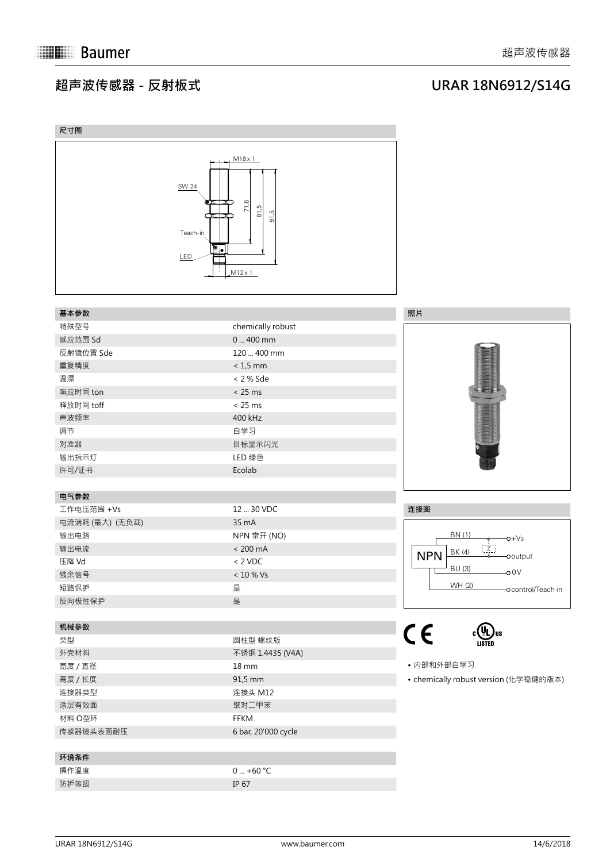## **超声波传感器 - 反射板式**

## **URAR 18N6912/S14G**

| 尺寸图                                                                                         |                                                                                        |                                                                                                                       |
|---------------------------------------------------------------------------------------------|----------------------------------------------------------------------------------------|-----------------------------------------------------------------------------------------------------------------------|
| SW 24<br>$\bullet$ $\bullet$ $\bullet$<br>œ<br>Teach-in<br>$\overline{\mathbb{P}}$ .<br>LED | $M18 \times 1$<br>71,6<br>ര്<br>$\overline{\infty}$<br>டி<br>$\overline{5}$<br>M12 x 1 |                                                                                                                       |
| 基本参数                                                                                        |                                                                                        | 照片                                                                                                                    |
| 特殊型号                                                                                        | chemically robust                                                                      |                                                                                                                       |
| 感应范围 Sd                                                                                     | $0400$ mm                                                                              |                                                                                                                       |
| 反射镜位置 Sde                                                                                   | 120  400 mm                                                                            |                                                                                                                       |
| 重复精度                                                                                        | $< 1, 5$ mm                                                                            |                                                                                                                       |
| 温漂                                                                                          | < 2 % Sde                                                                              | <b>Contact of the Contact of the Contact of the Contact of the Contact of the Contact of the Contact of the Conta</b> |
| 响应时间 ton                                                                                    | < 25 ms                                                                                |                                                                                                                       |
| 释放时间 toff                                                                                   | < 25 ms                                                                                |                                                                                                                       |
| 声波频率                                                                                        | 400 kHz                                                                                |                                                                                                                       |
| 调节                                                                                          | 自学习                                                                                    |                                                                                                                       |
| 对准器                                                                                         | 目标显示闪光                                                                                 |                                                                                                                       |
| 输出指示灯                                                                                       | LED 绿色                                                                                 |                                                                                                                       |
| 许可/证书                                                                                       | Ecolab                                                                                 |                                                                                                                       |
|                                                                                             |                                                                                        |                                                                                                                       |
| 电气参数                                                                                        |                                                                                        |                                                                                                                       |
| 工作电压范围 +Vs                                                                                  | 12  30 VDC                                                                             | 连接图                                                                                                                   |
| 电流消耗 (最大) (无负载)                                                                             | 35 mA                                                                                  |                                                                                                                       |
| 输出电路                                                                                        | NPN 常开 (NO)                                                                            | BN (1)<br>$-0+Vs$                                                                                                     |
| 输出电流                                                                                        | $< 200 \text{ mA}$                                                                     | $\overline{z}$ .<br>BK (4)<br><b>NPN</b><br>-ooutput                                                                  |
| 压降 Vd                                                                                       | $< 2$ VDC                                                                              | BU (3)<br>$-00V$                                                                                                      |
| 残余信号                                                                                        | $< 10 \%$ Vs                                                                           |                                                                                                                       |
| 短路保护                                                                                        | 是                                                                                      |                                                                                                                       |
| 反向极性保护                                                                                      | 是                                                                                      |                                                                                                                       |
|                                                                                             |                                                                                        |                                                                                                                       |
| 机械参数                                                                                        |                                                                                        | $C \in$<br>C UL US<br>LISTED                                                                                          |
| 类型                                                                                          | 圆柱型 螺纹版                                                                                |                                                                                                                       |
| 外壳材料                                                                                        | 不锈钢 1.4435 (V4A)                                                                       | • 内部和外部自学习                                                                                                            |
| 宽度 / 直径                                                                                     | 18 mm                                                                                  | • chemically robust version (化学稳健的版本)                                                                                 |
| 高度 / 长度<br>连接器类型                                                                            | 91,5 mm<br>连接头 M12                                                                     |                                                                                                                       |
|                                                                                             |                                                                                        |                                                                                                                       |
| 涂层有效面<br>材料 O型环                                                                             | 聚对二甲苯<br>FFKM                                                                          |                                                                                                                       |
|                                                                                             |                                                                                        |                                                                                                                       |
| 传感器镜头表面耐压                                                                                   | 6 bar, 20'000 cycle                                                                    |                                                                                                                       |
| 环境条件                                                                                        |                                                                                        |                                                                                                                       |
| 操作温度                                                                                        | $0  +60 °C$                                                                            |                                                                                                                       |
| 防护等级                                                                                        | IP 67                                                                                  |                                                                                                                       |
|                                                                                             |                                                                                        |                                                                                                                       |